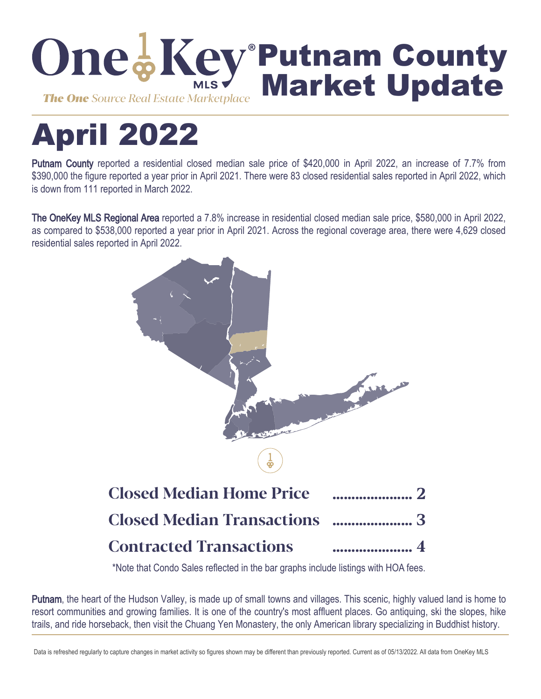

# April 2022

Putnam County reported a residential closed median sale price of \$420,000 in April 2022, an increase of 7.7% from \$390,000 the figure reported a year prior in April 2021. There were 83 closed residential sales reported in April 2022, which is down from 111 reported in March 2022.

The OneKey MLS Regional Area reported a 7.8% increase in residential closed median sale price, \$580,000 in April 2022, as compared to \$538,000 reported a year prior in April 2021. Across the regional coverage area, there were 4,629 closed residential sales reported in April 2022.



\*Note that Condo Sales reflected in the bar graphs include listings with HOA fees.

Putnam, the heart of the Hudson Valley, is made up of small towns and villages. This scenic, highly valued land is home to resort communities and growing families. It is one of the country's most affluent places. Go antiquing, ski the slopes, hike trails, and ride horseback, then visit the Chuang Yen Monastery, the only American library specializing in Buddhist history.

Data is refreshed regularly to capture changes in market activity so figures shown may be different than previously reported. Current as of 05/13/2022. All data from OneKey MLS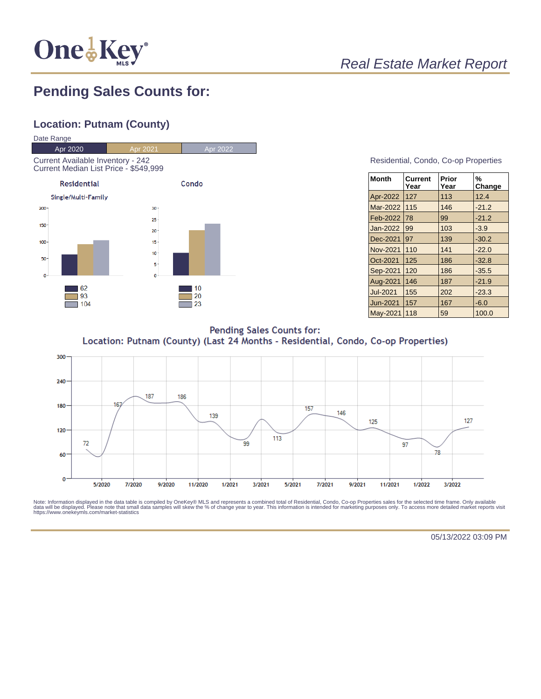

# Real Estate Market Report

## **Pending Sales Counts for:**

## **Location: Putnam (County)**



#### Residential, Condo, Co-op Properties

| <b>Month</b>    | Current<br>Year | Prior<br>Year | %<br>Change |
|-----------------|-----------------|---------------|-------------|
| Apr-2022        | 127             | 113           | 12.4        |
| Mar-2022        | 115             | 146           | $-21.2$     |
| Feb-2022        | 78              | 99            | $-21.2$     |
| Jan-2022        | 99              | 103           | $-3.9$      |
| Dec-2021        | 97              | 139           | $-30.2$     |
| Nov-2021        | 110             | 141           | $-22.0$     |
| Oct-2021        | 125             | 186           | $-32.8$     |
| Sep-2021        | 120             | 186           | $-35.5$     |
| Aug-2021        | 146             | 187           | $-21.9$     |
| <b>Jul-2021</b> | 155             | 202           | $-23.3$     |
| Jun-2021        | 157             | 167           | $-6.0$      |
| <b>May-2021</b> | 118             | 59            | 100.0       |

**Pending Sales Counts for:** Location: Putnam (County) (Last 24 Months - Residential, Condo, Co-op Properties)



Note: Information displayed in the data table is compiled by OneKey® MLS and represents a combined total of Residential, Condo, Co-op Properties sales for the selected time frame. Only available<br>data will be displayed. Pl

05/13/2022 03:09 PM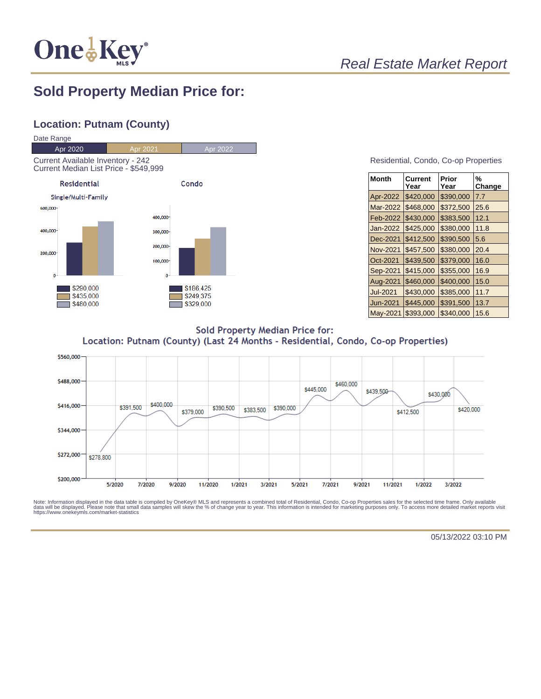

## Real Estate Market Report

## **Sold Property Median Price for:**

## **Location: Putnam (County)**



#### Residential, Condo, Co-op Properties

| Month           | Current<br>Year | Prior<br>Year | %<br>Change |
|-----------------|-----------------|---------------|-------------|
| Apr-2022        | \$420,000       | \$390,000     | 7.7         |
| Mar-2022        | \$468,000       | \$372,500     | 25.6        |
| Feb-2022        | \$430.000       | \$383,500     | 12.1        |
| Jan-2022        | \$425,000       | \$380,000     | 11.8        |
| Dec-2021        | \$412,500       | \$390,500     | 5.6         |
| Nov-2021        | \$457,500       | \$380,000     | 20.4        |
| Oct-2021        | \$439.500       | \$379,000     | 16.0        |
| Sep-2021        | \$415,000       | \$355,000     | 16.9        |
| Aug-2021        | \$460,000       | \$400,000     | 15.0        |
| <b>Jul-2021</b> | \$430,000       | \$385,000     | 11.7        |
| Jun-2021        | \$445,000       | \$391,500     | 13.7        |
| May-2021        | \$393,000       | \$340,000     | 15.6        |

**Sold Property Median Price for:** Location: Putnam (County) (Last 24 Months - Residential, Condo, Co-op Properties)



Note: Information displayed in the data table is compiled by OneKey® MLS and represents a combined total of Residential, Condo, Co-op Properties sales for the selected time frame. Only available<br>data will be displayed. Pl

05/13/2022 03:10 PM